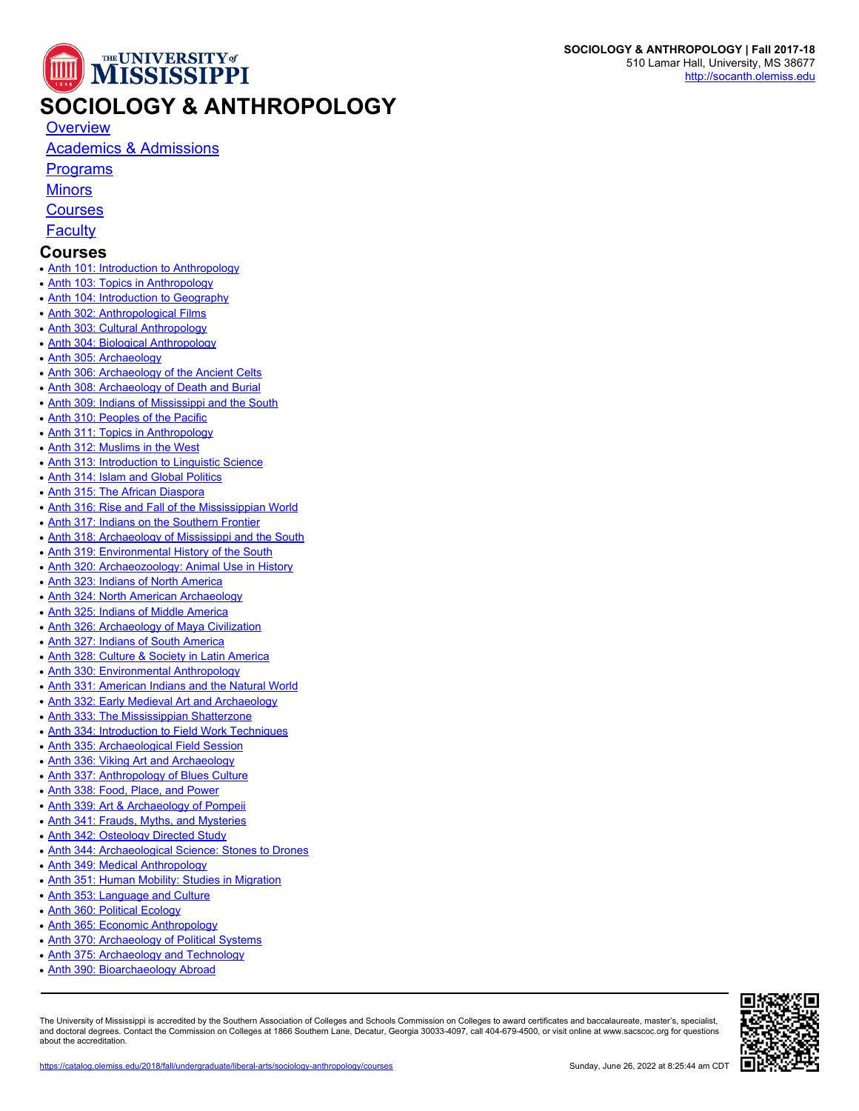

## **SOCIOLOGY & ANTHROPOLOGY**

[Academics & Admissions](https://catalog.olemiss.edu/2018/fall/liberal-arts/sociology-anthropology/academics)

**[Programs](https://catalog.olemiss.edu/2018/fall/liberal-arts/sociology-anthropology/programs)** 

**[Minors](https://catalog.olemiss.edu/2018/fall/liberal-arts/sociology-anthropology/minors)** 

**[Courses](https://catalog.olemiss.edu/2018/fall/liberal-arts/sociology-anthropology/courses)** 

**[Faculty](https://catalog.olemiss.edu/2018/fall/liberal-arts/sociology-anthropology/faculty)** 

## **Courses**

- [Anth 101: Introduction to Anthropology](https://catalog.olemiss.edu/2018/fall/liberal-arts/sociology-anthropology/anth-101)
- [Anth 103: Topics in Anthropology](https://catalog.olemiss.edu/2018/fall/liberal-arts/sociology-anthropology/anth-103)
- [Anth 104: Introduction to Geography](https://catalog.olemiss.edu/2018/fall/liberal-arts/sociology-anthropology/anth-104)
- [Anth 302: Anthropological Films](https://catalog.olemiss.edu/2018/fall/liberal-arts/sociology-anthropology/anth-302)
- [Anth 303: Cultural Anthropology](https://catalog.olemiss.edu/2018/fall/liberal-arts/sociology-anthropology/anth-303)
- [Anth 304: Biological Anthropology](https://catalog.olemiss.edu/2018/fall/liberal-arts/sociology-anthropology/anth-304)
- [Anth 305: Archaeology](https://catalog.olemiss.edu/2018/fall/liberal-arts/sociology-anthropology/anth-305)
- [Anth 306: Archaeology of the Ancient Celts](https://catalog.olemiss.edu/2018/fall/liberal-arts/sociology-anthropology/anth-306)
- [Anth 308: Archaeology of Death and Burial](https://catalog.olemiss.edu/2018/fall/liberal-arts/sociology-anthropology/anth-308)
- [Anth 309: Indians of Mississippi and the South](https://catalog.olemiss.edu/2018/fall/liberal-arts/sociology-anthropology/anth-309)
- [Anth 310: Peoples of the Pacific](https://catalog.olemiss.edu/2018/fall/liberal-arts/sociology-anthropology/anth-310)
- [Anth 311: Topics in Anthropology](https://catalog.olemiss.edu/2018/fall/liberal-arts/sociology-anthropology/anth-311)
- [Anth 312: Muslims in the West](https://catalog.olemiss.edu/2018/fall/liberal-arts/sociology-anthropology/anth-312)
- [Anth 313: Introduction to Linguistic Science](https://catalog.olemiss.edu/2018/fall/liberal-arts/sociology-anthropology/anth-313)
- [Anth 314: Islam and Global Politics](https://catalog.olemiss.edu/2018/fall/liberal-arts/sociology-anthropology/anth-314)
- [Anth 315: The African Diaspora](https://catalog.olemiss.edu/2018/fall/liberal-arts/sociology-anthropology/anth-315)
- [Anth 316: Rise and Fall of the Mississippian World](https://catalog.olemiss.edu/2018/fall/liberal-arts/sociology-anthropology/anth-316)
- [Anth 317: Indians on the Southern Frontier](https://catalog.olemiss.edu/2018/fall/liberal-arts/sociology-anthropology/anth-317)
- [Anth 318: Archaeology of Mississippi and the South](https://catalog.olemiss.edu/2018/fall/liberal-arts/sociology-anthropology/anth-318)
- [Anth 319: Environmental History of the South](https://catalog.olemiss.edu/2018/fall/liberal-arts/sociology-anthropology/anth-319)
- [Anth 320: Archaeozoology: Animal Use in History](https://catalog.olemiss.edu/2018/fall/liberal-arts/sociology-anthropology/anth-320)
- [Anth 323: Indians of North America](https://catalog.olemiss.edu/2018/fall/liberal-arts/sociology-anthropology/anth-323)
- [Anth 324: North American Archaeology](https://catalog.olemiss.edu/2018/fall/liberal-arts/sociology-anthropology/anth-324)
- [Anth 325: Indians of Middle America](https://catalog.olemiss.edu/2018/fall/liberal-arts/sociology-anthropology/anth-325)
- [Anth 326: Archaeology of Maya Civilization](https://catalog.olemiss.edu/2018/fall/liberal-arts/sociology-anthropology/anth-326)
- [Anth 327: Indians of South America](https://catalog.olemiss.edu/2018/fall/liberal-arts/sociology-anthropology/anth-327)
- [Anth 328: Culture & Society in Latin America](https://catalog.olemiss.edu/2018/fall/liberal-arts/sociology-anthropology/anth-328)
- [Anth 330: Environmental Anthropology](https://catalog.olemiss.edu/2018/fall/liberal-arts/sociology-anthropology/anth-330)
- [Anth 331: American Indians and the Natural World](https://catalog.olemiss.edu/2018/fall/liberal-arts/sociology-anthropology/anth-331)
- [Anth 332: Early Medieval Art and Archaeology](https://catalog.olemiss.edu/2018/fall/liberal-arts/sociology-anthropology/anth-332)
- [Anth 333: The Mississippian Shatterzone](https://catalog.olemiss.edu/2018/fall/liberal-arts/sociology-anthropology/anth-333)
- [Anth 334: Introduction to Field Work Techniques](https://catalog.olemiss.edu/2018/fall/liberal-arts/sociology-anthropology/anth-334)
- [Anth 335: Archaeological Field Session](https://catalog.olemiss.edu/2018/fall/liberal-arts/sociology-anthropology/anth-335)
- [Anth 336: Viking Art and Archaeology](https://catalog.olemiss.edu/2018/fall/liberal-arts/sociology-anthropology/anth-336)
- [Anth 337: Anthropology of Blues Culture](https://catalog.olemiss.edu/2018/fall/liberal-arts/sociology-anthropology/anth-337)
- [Anth 338: Food, Place, and Power](https://catalog.olemiss.edu/2018/fall/liberal-arts/sociology-anthropology/anth-338)
- [Anth 339: Art & Archaeology of Pompeii](https://catalog.olemiss.edu/2018/fall/liberal-arts/sociology-anthropology/anth-339)
- [Anth 341: Frauds, Myths, and Mysteries](https://catalog.olemiss.edu/2018/fall/liberal-arts/sociology-anthropology/anth-341)
- [Anth 342: Osteology Directed Study](https://catalog.olemiss.edu/2018/fall/liberal-arts/sociology-anthropology/anth-342)
- [Anth 344: Archaeological Science: Stones to Drones](https://catalog.olemiss.edu/2018/fall/liberal-arts/sociology-anthropology/anth-344)
- [Anth 349: Medical Anthropology](https://catalog.olemiss.edu/2018/fall/liberal-arts/sociology-anthropology/anth-349)
- [Anth 351: Human Mobility: Studies in Migration](https://catalog.olemiss.edu/2018/fall/liberal-arts/sociology-anthropology/anth-351)
- [Anth 353: Language and Culture](https://catalog.olemiss.edu/2018/fall/liberal-arts/sociology-anthropology/anth-353)
- [Anth 360: Political Ecology](https://catalog.olemiss.edu/2018/fall/liberal-arts/sociology-anthropology/anth-360)
- [Anth 365: Economic Anthropology](https://catalog.olemiss.edu/2018/fall/liberal-arts/sociology-anthropology/anth-365)
- [Anth 370: Archaeology of Political Systems](https://catalog.olemiss.edu/2018/fall/liberal-arts/sociology-anthropology/anth-370)
- [Anth 375: Archaeology and Technology](https://catalog.olemiss.edu/2018/fall/liberal-arts/sociology-anthropology/anth-375)
- [Anth 390: Bioarchaeology Abroad](https://catalog.olemiss.edu/2018/fall/liberal-arts/sociology-anthropology/anth-390)

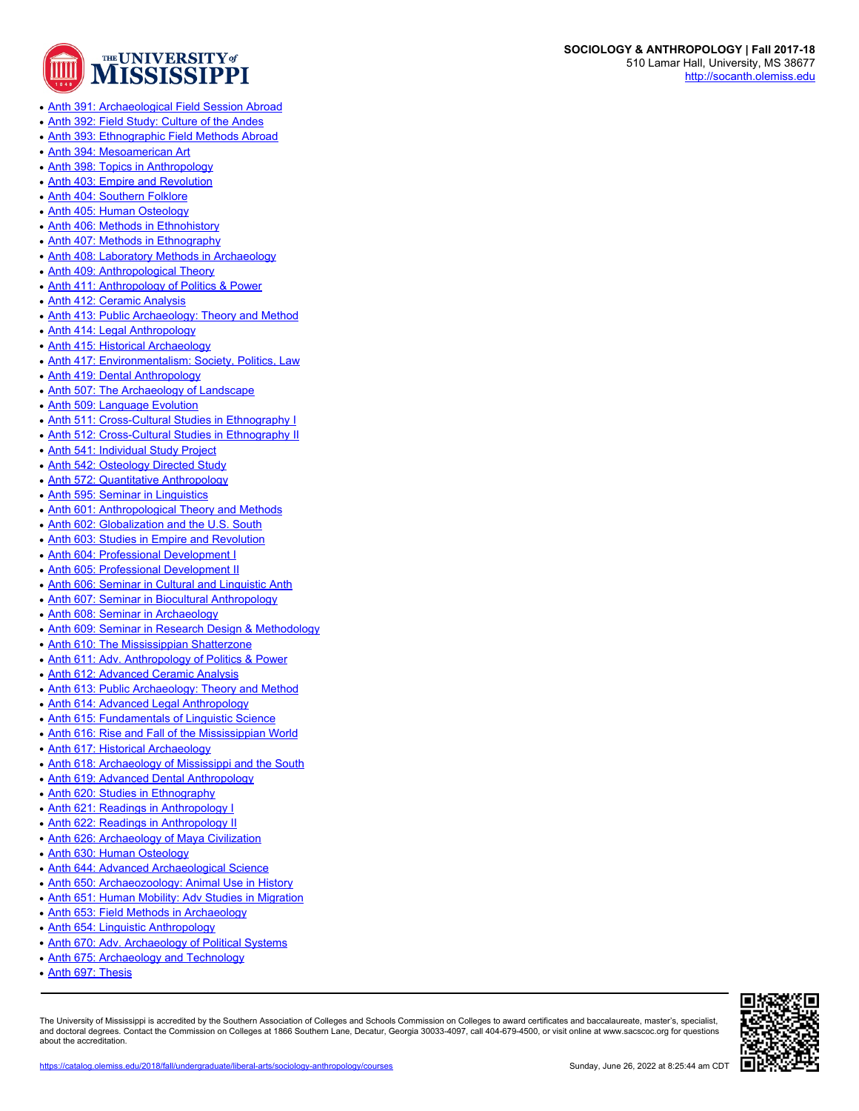

- [Anth 392: Field Study: Culture of the Andes](https://catalog.olemiss.edu/2018/fall/liberal-arts/sociology-anthropology/anth-392)
- [Anth 393: Ethnographic Field Methods Abroad](https://catalog.olemiss.edu/2018/fall/liberal-arts/sociology-anthropology/anth-393)
- [Anth 394: Mesoamerican Art](https://catalog.olemiss.edu/2018/fall/liberal-arts/sociology-anthropology/anth-394)
- [Anth 398: Topics in Anthropology](https://catalog.olemiss.edu/2018/fall/liberal-arts/sociology-anthropology/anth-398)
- [Anth 403: Empire and Revolution](https://catalog.olemiss.edu/2018/fall/liberal-arts/sociology-anthropology/anth-403)
- [Anth 404: Southern Folklore](https://catalog.olemiss.edu/2018/fall/liberal-arts/sociology-anthropology/anth-404)
- [Anth 405: Human Osteology](https://catalog.olemiss.edu/2018/fall/liberal-arts/sociology-anthropology/anth-405)
- [Anth 406: Methods in Ethnohistory](https://catalog.olemiss.edu/2018/fall/liberal-arts/sociology-anthropology/anth-406)
- [Anth 407: Methods in Ethnography](https://catalog.olemiss.edu/2018/fall/liberal-arts/sociology-anthropology/anth-407)
- [Anth 408: Laboratory Methods in Archaeology](https://catalog.olemiss.edu/2018/fall/liberal-arts/sociology-anthropology/anth-408)
- [Anth 409: Anthropological Theory](https://catalog.olemiss.edu/2018/fall/liberal-arts/sociology-anthropology/anth-409)
- [Anth 411: Anthropology of Politics & Power](https://catalog.olemiss.edu/2018/fall/liberal-arts/sociology-anthropology/anth-411)
- [Anth 412: Ceramic Analysis](https://catalog.olemiss.edu/2018/fall/liberal-arts/sociology-anthropology/anth-412)
- [Anth 413: Public Archaeology: Theory and Method](https://catalog.olemiss.edu/2018/fall/liberal-arts/sociology-anthropology/anth-413)
- [Anth 414: Legal Anthropology](https://catalog.olemiss.edu/2018/fall/liberal-arts/sociology-anthropology/anth-414)
- [Anth 415: Historical Archaeology](https://catalog.olemiss.edu/2018/fall/liberal-arts/sociology-anthropology/anth-415)
- [Anth 417: Environmentalism: Society, Politics, Law](https://catalog.olemiss.edu/2018/fall/liberal-arts/sociology-anthropology/anth-417)
- [Anth 419: Dental Anthropology](https://catalog.olemiss.edu/2018/fall/liberal-arts/sociology-anthropology/anth-419)
- [Anth 507: The Archaeology of Landscape](https://catalog.olemiss.edu/2018/fall/liberal-arts/sociology-anthropology/anth-507)
- [Anth 509: Language Evolution](https://catalog.olemiss.edu/2018/fall/liberal-arts/sociology-anthropology/anth-509)
- [Anth 511: Cross-Cultural Studies in Ethnography I](https://catalog.olemiss.edu/2018/fall/liberal-arts/sociology-anthropology/anth-511)
- [Anth 512: Cross-Cultural Studies in Ethnography II](https://catalog.olemiss.edu/2018/fall/liberal-arts/sociology-anthropology/anth-512)
- [Anth 541: Individual Study Project](https://catalog.olemiss.edu/2018/fall/liberal-arts/sociology-anthropology/anth-541)
- [Anth 542: Osteology Directed Study](https://catalog.olemiss.edu/2018/fall/liberal-arts/sociology-anthropology/anth-542)
- [Anth 572: Quantitative Anthropology](https://catalog.olemiss.edu/2018/fall/liberal-arts/sociology-anthropology/anth-572)
- [Anth 595: Seminar in Linguistics](https://catalog.olemiss.edu/2018/fall/liberal-arts/sociology-anthropology/anth-595)
- [Anth 601: Anthropological Theory and Methods](https://catalog.olemiss.edu/2018/fall/liberal-arts/sociology-anthropology/anth-601)
- [Anth 602: Globalization and the U.S. South](https://catalog.olemiss.edu/2018/fall/liberal-arts/sociology-anthropology/anth-602)
- [Anth 603: Studies in Empire and Revolution](https://catalog.olemiss.edu/2018/fall/liberal-arts/sociology-anthropology/anth-603)
- [Anth 604: Professional Development I](https://catalog.olemiss.edu/2018/fall/liberal-arts/sociology-anthropology/anth-604)
- [Anth 605: Professional Development II](https://catalog.olemiss.edu/2018/fall/liberal-arts/sociology-anthropology/anth-605)
- [Anth 606: Seminar in Cultural and Linguistic Anth](https://catalog.olemiss.edu/2018/fall/liberal-arts/sociology-anthropology/anth-606)
- [Anth 607: Seminar in Biocultural Anthropology](https://catalog.olemiss.edu/2018/fall/liberal-arts/sociology-anthropology/anth-607)
- [Anth 608: Seminar in Archaeology](https://catalog.olemiss.edu/2018/fall/liberal-arts/sociology-anthropology/anth-608)
- [Anth 609: Seminar in Research Design & Methodology](https://catalog.olemiss.edu/2018/fall/liberal-arts/sociology-anthropology/anth-609)
- [Anth 610: The Mississippian Shatterzone](https://catalog.olemiss.edu/2018/fall/liberal-arts/sociology-anthropology/anth-610)
- [Anth 611: Adv. Anthropology of Politics & Power](https://catalog.olemiss.edu/2018/fall/liberal-arts/sociology-anthropology/anth-611)
- [Anth 612: Advanced Ceramic Analysis](https://catalog.olemiss.edu/2018/fall/liberal-arts/sociology-anthropology/anth-612)
- [Anth 613: Public Archaeology: Theory and Method](https://catalog.olemiss.edu/2018/fall/liberal-arts/sociology-anthropology/anth-613)
- [Anth 614: Advanced Legal Anthropology](https://catalog.olemiss.edu/2018/fall/liberal-arts/sociology-anthropology/anth-614)
- [Anth 615: Fundamentals of Linguistic Science](https://catalog.olemiss.edu/2018/fall/liberal-arts/sociology-anthropology/anth-615)
- [Anth 616: Rise and Fall of the Mississippian World](https://catalog.olemiss.edu/2018/fall/liberal-arts/sociology-anthropology/anth-616)
- [Anth 617: Historical Archaeology](https://catalog.olemiss.edu/2018/fall/liberal-arts/sociology-anthropology/anth-617)
- [Anth 618: Archaeology of Mississippi and the South](https://catalog.olemiss.edu/2018/fall/liberal-arts/sociology-anthropology/anth-618)
- [Anth 619: Advanced Dental Anthropology](https://catalog.olemiss.edu/2018/fall/liberal-arts/sociology-anthropology/anth-619)
- [Anth 620: Studies in Ethnography](https://catalog.olemiss.edu/2018/fall/liberal-arts/sociology-anthropology/anth-620)
- [Anth 621: Readings in Anthropology I](https://catalog.olemiss.edu/2018/fall/liberal-arts/sociology-anthropology/anth-621)
- [Anth 622: Readings in Anthropology II](https://catalog.olemiss.edu/2018/fall/liberal-arts/sociology-anthropology/anth-622)
- [Anth 626: Archaeology of Maya Civilization](https://catalog.olemiss.edu/2018/fall/liberal-arts/sociology-anthropology/anth-626)
- [Anth 630: Human Osteology](https://catalog.olemiss.edu/2018/fall/liberal-arts/sociology-anthropology/anth-630)
- [Anth 644: Advanced Archaeological Science](https://catalog.olemiss.edu/2018/fall/liberal-arts/sociology-anthropology/anth-644)
- [Anth 650: Archaeozoology: Animal Use in History](https://catalog.olemiss.edu/2018/fall/liberal-arts/sociology-anthropology/anth-650)
- [Anth 651: Human Mobility: Adv Studies in Migration](https://catalog.olemiss.edu/2018/fall/liberal-arts/sociology-anthropology/anth-651)
- [Anth 653: Field Methods in Archaeology](https://catalog.olemiss.edu/2018/fall/liberal-arts/sociology-anthropology/anth-653)
- 
- [Anth 654: Linguistic Anthropology](https://catalog.olemiss.edu/2018/fall/liberal-arts/sociology-anthropology/anth-654)
- [Anth 670: Adv. Archaeology of Political Systems](https://catalog.olemiss.edu/2018/fall/liberal-arts/sociology-anthropology/anth-670)
- [Anth 675: Archaeology and Technology](https://catalog.olemiss.edu/2018/fall/liberal-arts/sociology-anthropology/anth-675)
- [Anth 697: Thesis](https://catalog.olemiss.edu/2018/fall/liberal-arts/sociology-anthropology/anth-697)

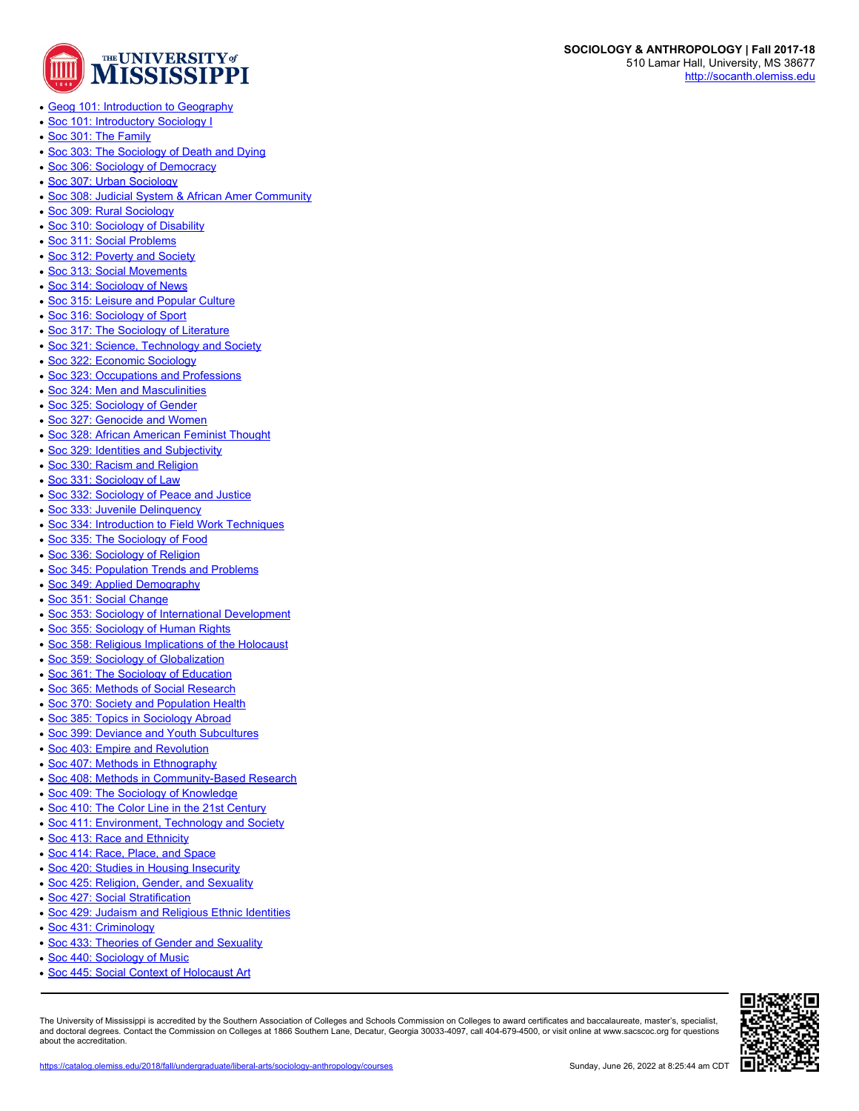

- [Geog 101: Introduction to Geography](https://catalog.olemiss.edu/2018/fall/liberal-arts/sociology-anthropology/geog-101)
- [Soc 101: Introductory Sociology I](https://catalog.olemiss.edu/2018/fall/liberal-arts/sociology-anthropology/soc-101)
- [Soc 301: The Family](https://catalog.olemiss.edu/2018/fall/liberal-arts/sociology-anthropology/soc-301)
- [Soc 303: The Sociology of Death and Dying](https://catalog.olemiss.edu/2018/fall/liberal-arts/sociology-anthropology/soc-303)
- [Soc 306: Sociology of Democracy](https://catalog.olemiss.edu/2018/fall/liberal-arts/sociology-anthropology/soc-306)
- [Soc 307: Urban Sociology](https://catalog.olemiss.edu/2018/fall/liberal-arts/sociology-anthropology/soc-307)
- [Soc 308: Judicial System & African Amer Community](https://catalog.olemiss.edu/2018/fall/liberal-arts/sociology-anthropology/soc-308)
- [Soc 309: Rural Sociology](https://catalog.olemiss.edu/2018/fall/liberal-arts/sociology-anthropology/soc-309)
- [Soc 310: Sociology of Disability](https://catalog.olemiss.edu/2018/fall/liberal-arts/sociology-anthropology/soc-310)
- [Soc 311: Social Problems](https://catalog.olemiss.edu/2018/fall/liberal-arts/sociology-anthropology/soc-311)
- [Soc 312: Poverty and Society](https://catalog.olemiss.edu/2018/fall/liberal-arts/sociology-anthropology/soc-312)
- [Soc 313: Social Movements](https://catalog.olemiss.edu/2018/fall/liberal-arts/sociology-anthropology/soc-313)
- [Soc 314: Sociology of News](https://catalog.olemiss.edu/2018/fall/liberal-arts/sociology-anthropology/soc-314)
- [Soc 315: Leisure and Popular Culture](https://catalog.olemiss.edu/2018/fall/liberal-arts/sociology-anthropology/soc-315)
- [Soc 316: Sociology of Sport](https://catalog.olemiss.edu/2018/fall/liberal-arts/sociology-anthropology/soc-316)
- [Soc 317: The Sociology of Literature](https://catalog.olemiss.edu/2018/fall/liberal-arts/sociology-anthropology/soc-317)
- [Soc 321: Science, Technology and Society](https://catalog.olemiss.edu/2018/fall/liberal-arts/sociology-anthropology/soc-321)
- [Soc 322: Economic Sociology](https://catalog.olemiss.edu/2018/fall/liberal-arts/sociology-anthropology/soc-322)
- [Soc 323: Occupations and Professions](https://catalog.olemiss.edu/2018/fall/liberal-arts/sociology-anthropology/soc-323)
- [Soc 324: Men and Masculinities](https://catalog.olemiss.edu/2018/fall/liberal-arts/sociology-anthropology/soc-324)
- [Soc 325: Sociology of Gender](https://catalog.olemiss.edu/2018/fall/liberal-arts/sociology-anthropology/soc-325)
- [Soc 327: Genocide and Women](https://catalog.olemiss.edu/2018/fall/liberal-arts/sociology-anthropology/soc-327)
- [Soc 328: African American Feminist Thought](https://catalog.olemiss.edu/2018/fall/liberal-arts/sociology-anthropology/soc-328)
- [Soc 329: Identities and Subjectivity](https://catalog.olemiss.edu/2018/fall/liberal-arts/sociology-anthropology/soc-329)
- [Soc 330: Racism and Religion](https://catalog.olemiss.edu/2018/fall/liberal-arts/sociology-anthropology/soc-330)
- [Soc 331: Sociology of Law](https://catalog.olemiss.edu/2018/fall/liberal-arts/sociology-anthropology/soc-331)
- [Soc 332: Sociology of Peace and Justice](https://catalog.olemiss.edu/2018/fall/liberal-arts/sociology-anthropology/soc-332)
- [Soc 333: Juvenile Delinquency](https://catalog.olemiss.edu/2018/fall/liberal-arts/sociology-anthropology/soc-333)
- [Soc 334: Introduction to Field Work Techniques](https://catalog.olemiss.edu/2018/fall/liberal-arts/sociology-anthropology/soc-334)
- [Soc 335: The Sociology of Food](https://catalog.olemiss.edu/2018/fall/liberal-arts/sociology-anthropology/soc-335)
- [Soc 336: Sociology of Religion](https://catalog.olemiss.edu/2018/fall/liberal-arts/sociology-anthropology/soc-336)
- [Soc 345: Population Trends and Problems](https://catalog.olemiss.edu/2018/fall/liberal-arts/sociology-anthropology/soc-345)
- [Soc 349: Applied Demography](https://catalog.olemiss.edu/2018/fall/liberal-arts/sociology-anthropology/soc-349)
- [Soc 351: Social Change](https://catalog.olemiss.edu/2018/fall/liberal-arts/sociology-anthropology/soc-351)
- [Soc 353: Sociology of International Development](https://catalog.olemiss.edu/2018/fall/liberal-arts/sociology-anthropology/soc-353)
- [Soc 355: Sociology of Human Rights](https://catalog.olemiss.edu/2018/fall/liberal-arts/sociology-anthropology/soc-355)
- [Soc 358: Religious Implications of the Holocaust](https://catalog.olemiss.edu/2018/fall/liberal-arts/sociology-anthropology/soc-358)
- [Soc 359: Sociology of Globalization](https://catalog.olemiss.edu/2018/fall/liberal-arts/sociology-anthropology/soc-359)
- [Soc 361: The Sociology of Education](https://catalog.olemiss.edu/2018/fall/liberal-arts/sociology-anthropology/soc-361)
- [Soc 365: Methods of Social Research](https://catalog.olemiss.edu/2018/fall/liberal-arts/sociology-anthropology/soc-365)
- [Soc 370: Society and Population Health](https://catalog.olemiss.edu/2018/fall/liberal-arts/sociology-anthropology/soc-370)
- [Soc 385: Topics in Sociology Abroad](https://catalog.olemiss.edu/2018/fall/liberal-arts/sociology-anthropology/soc-385)
- [Soc 399: Deviance and Youth Subcultures](https://catalog.olemiss.edu/2018/fall/liberal-arts/sociology-anthropology/soc-399)
- [Soc 403: Empire and Revolution](https://catalog.olemiss.edu/2018/fall/liberal-arts/sociology-anthropology/soc-403)
- 
- [Soc 407: Methods in Ethnography](https://catalog.olemiss.edu/2018/fall/liberal-arts/sociology-anthropology/soc-407)
- [Soc 408: Methods in Community-Based Research](https://catalog.olemiss.edu/2018/fall/liberal-arts/sociology-anthropology/soc-408)
- [Soc 409: The Sociology of Knowledge](https://catalog.olemiss.edu/2018/fall/liberal-arts/sociology-anthropology/soc-409)
- [Soc 410: The Color Line in the 21st Century](https://catalog.olemiss.edu/2018/fall/liberal-arts/sociology-anthropology/soc-410)
- [Soc 411: Environment, Technology and Society](https://catalog.olemiss.edu/2018/fall/liberal-arts/sociology-anthropology/soc-411)
- [Soc 413: Race and Ethnicity](https://catalog.olemiss.edu/2018/fall/liberal-arts/sociology-anthropology/soc-413)
- [Soc 414: Race, Place, and Space](https://catalog.olemiss.edu/2018/fall/liberal-arts/sociology-anthropology/soc-414)
- [Soc 420: Studies in Housing Insecurity](https://catalog.olemiss.edu/2018/fall/liberal-arts/sociology-anthropology/soc-420)
- [Soc 425: Religion, Gender, and Sexuality](https://catalog.olemiss.edu/2018/fall/liberal-arts/sociology-anthropology/soc-425)
- [Soc 427: Social Stratification](https://catalog.olemiss.edu/2018/fall/liberal-arts/sociology-anthropology/soc-427)
- [Soc 429: Judaism and Religious Ethnic Identities](https://catalog.olemiss.edu/2018/fall/liberal-arts/sociology-anthropology/soc-429)
- [Soc 431: Criminology](https://catalog.olemiss.edu/2018/fall/liberal-arts/sociology-anthropology/soc-431)
- [Soc 433: Theories of Gender and Sexuality](https://catalog.olemiss.edu/2018/fall/liberal-arts/sociology-anthropology/soc-433)
- [Soc 440: Sociology of Music](https://catalog.olemiss.edu/2018/fall/liberal-arts/sociology-anthropology/soc-440)
- [Soc 445: Social Context of Holocaust Art](https://catalog.olemiss.edu/2018/fall/liberal-arts/sociology-anthropology/soc-445)